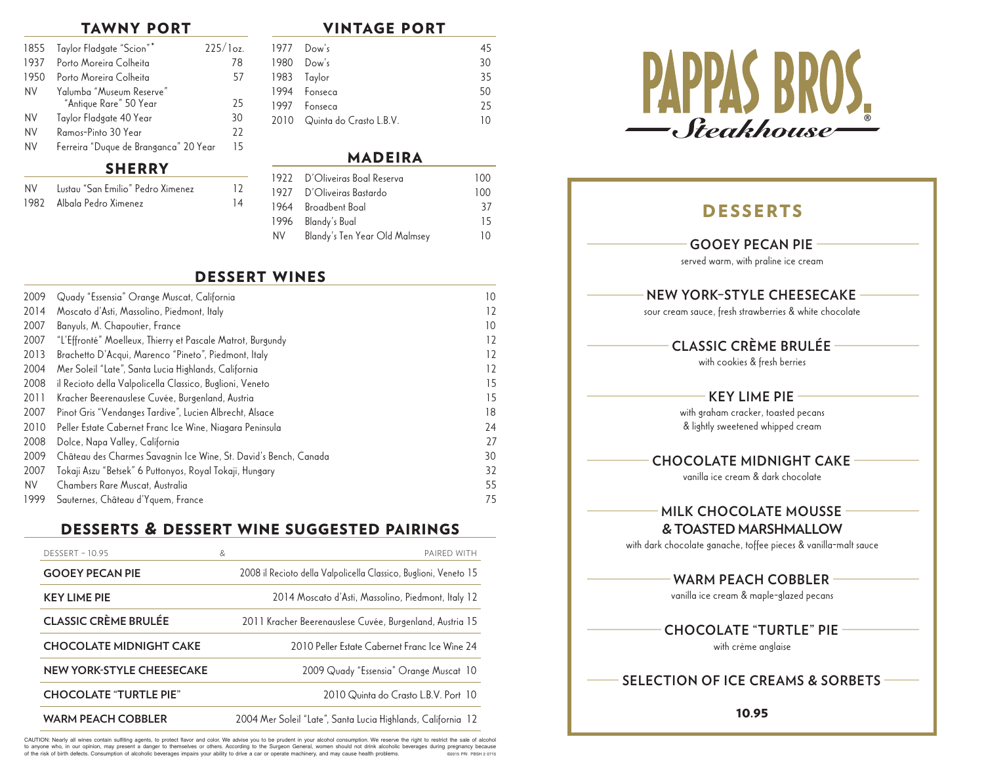#### tawny port

| 1855      | Taylor Fladgate "Scion"*                           | 225/log. |
|-----------|----------------------------------------------------|----------|
| 1937      | Porto Moreira Colheita                             | 78       |
| 1950      | Porto Moreira Colheita                             | 57       |
| <b>NV</b> | Yalumba "Museum Reserve"<br>"Antique Rare" 50 Year | 25       |
| <b>NV</b> | Taylor Fladgate 40 Year                            | 30       |
| <b>NV</b> | Ramos-Pinto 30 Year                                | 22       |
| <b>NV</b> | Ferreira "Duque de Branganca" 20 Year              | 15       |

#### **SHERRY**

| NV - | Lustau "San Emilio" Pedro Ximenez | 12              |
|------|-----------------------------------|-----------------|
|      | 1982 Albala Pedro Ximenez         | $\overline{14}$ |

| <b>VINTAGE PORT</b> |
|---------------------|
|---------------------|

|  | 1977 Dow's                   |    |
|--|------------------------------|----|
|  | 1980 Dow's                   | 30 |
|  | 1983 Taylor                  | 35 |
|  | 1994 Fonseca                 | 50 |
|  | 1997 Fonseca                 | 25 |
|  | 2010 Quinta do Crasto L.B.V. | 10 |
|  |                              |    |

#### madeira

|     | 1922 D'Oliveiras Boal Reserva | 100 |
|-----|-------------------------------|-----|
|     | 1927 D'Oliveiras Bastardo     | 100 |
|     | 1964 Broadbent Boal           | 37  |
|     | 1996 Blandy's Bual            | 15  |
| NV. | Blandy's Ten Year Old Malmsey | 10  |

#### dessert wines

| 2009      | Quady "Essensia" Orange Muscat, California                       | 10 |
|-----------|------------------------------------------------------------------|----|
| 2014      | Moscato d'Asti, Massolino, Piedmont, Italy                       | 12 |
| 2007      | Banyuls, M. Chapoutier, France                                   | 10 |
| 2007      | "L'Effronté" Moelleux, Thierry et Pascale Matrot, Burgundy       | 12 |
| 2013      | Brachetto D'Acqui, Marenco "Pineto", Piedmont, Italy             | 12 |
| 2004      | Mer Soleil "Late", Santa Lucia Highlands, California             | 12 |
| 2008      | il Recioto della Valpolicella Classico, Buglioni, Veneto         | 15 |
| 2011      | Kracher Beerenauslese Cuvée, Burgenland, Austria                 | 15 |
| 2007      | Pinot Gris "Vendanges Tardive", Lucien Albrecht, Alsace          | 18 |
| 2010      | Peller Estate Cabernet Franc Ice Wine, Niagara Peninsula         | 24 |
| 2008      | Dolce, Napa Valley, California                                   | 27 |
| 2009      | Château des Charmes Savagnin Ice Wine, St. David's Bench, Canada | 30 |
| 2007      | Tokaji Aszu "Betsek" 6 Puttonyos, Royal Tokaji, Hungary          | 32 |
| <b>NV</b> | Chambers Rare Muscat, Australia                                  | 55 |
| 1999      | Sauternes, Château d'Yquem, France                               | 75 |

# desserts & dessert wine suggested pairings

| <b>DESSERT - 10.95</b>           | & | PAIRED WITH                                                      |
|----------------------------------|---|------------------------------------------------------------------|
| <b>GOOEY PECAN PIE</b>           |   | 2008 il Recioto della Valpolicella Classico, Buglioni, Veneto 15 |
| <b>KEY LIME PIE</b>              |   | 2014 Moscato d'Asti, Massolino, Piedmont, Italy 12               |
| <b>CLASSIC CRÈME BRULÉE</b>      |   | 2011 Kracher Beerenauslese Cuvée, Burgenland, Austria 15         |
| <b>CHOCOLATE MIDNIGHT CAKE</b>   |   | 2010 Peller Estate Cabernet Franc Ice Wine 24                    |
| <b>NEW YORK-STYLE CHEESECAKE</b> |   | 2009 Quady "Essensia" Orange Muscat 10                           |
| <b>CHOCOLATE "TURTLE PIE"</b>    |   | 2010 Quinta do Crasto L.B.V. Port 10                             |
| <b>WARM PEACH COBBLER</b>        |   | 2004 Mer Soleil "Late", Santa Lucia Highlands, California 12     |

CAUTION: Nearly all wines contain sulfiting agents, to protect flavor and color. We advise you to be prudent in your alcohol consumption. We reserve the right to restrict the sale of alcohol to anyone who, in our opinion, may present a danger to themselves or others. According to the Surgeon General, women should not drink alcoholic beverages during pregnancy because of the risk of birth defects. Consumption of alcoholic beverages impairs your ability to drive a car or operate machinery, and may cause health problems. ©2015 PRI PBSH 2 0715



# **DESSERTS GOOEY PECAN PIE**  served warm, with praline ice cream  **NEW YORK–STYLE CHEESECAKE**  sour cream sauce, fresh strawberries & white chocolate  **CLASSIC CRÈME BRULÉE**  with cookies & fresh berries  **KEY LIME PIE**  with graham cracker, toasted pecans & lightly sweetened whipped cream  **CHOCOLATE MIDNIGHT CAKE**  vanilla ice cream & dark chocolate  **MILK CHOCOLATE MOUSSE & TOASTED MARSHMALLOW** with dark chocolate ganache, toffee pieces & vanilla-malt sauce  **WARM PEACH COBBLER**  vanilla ice cream & maple-glazed pecans  **CHOCOLATE "TURTLE" PIE**  with crème anglaise **SELECTION OF ICE CREAMS & SORBETS**  10.95